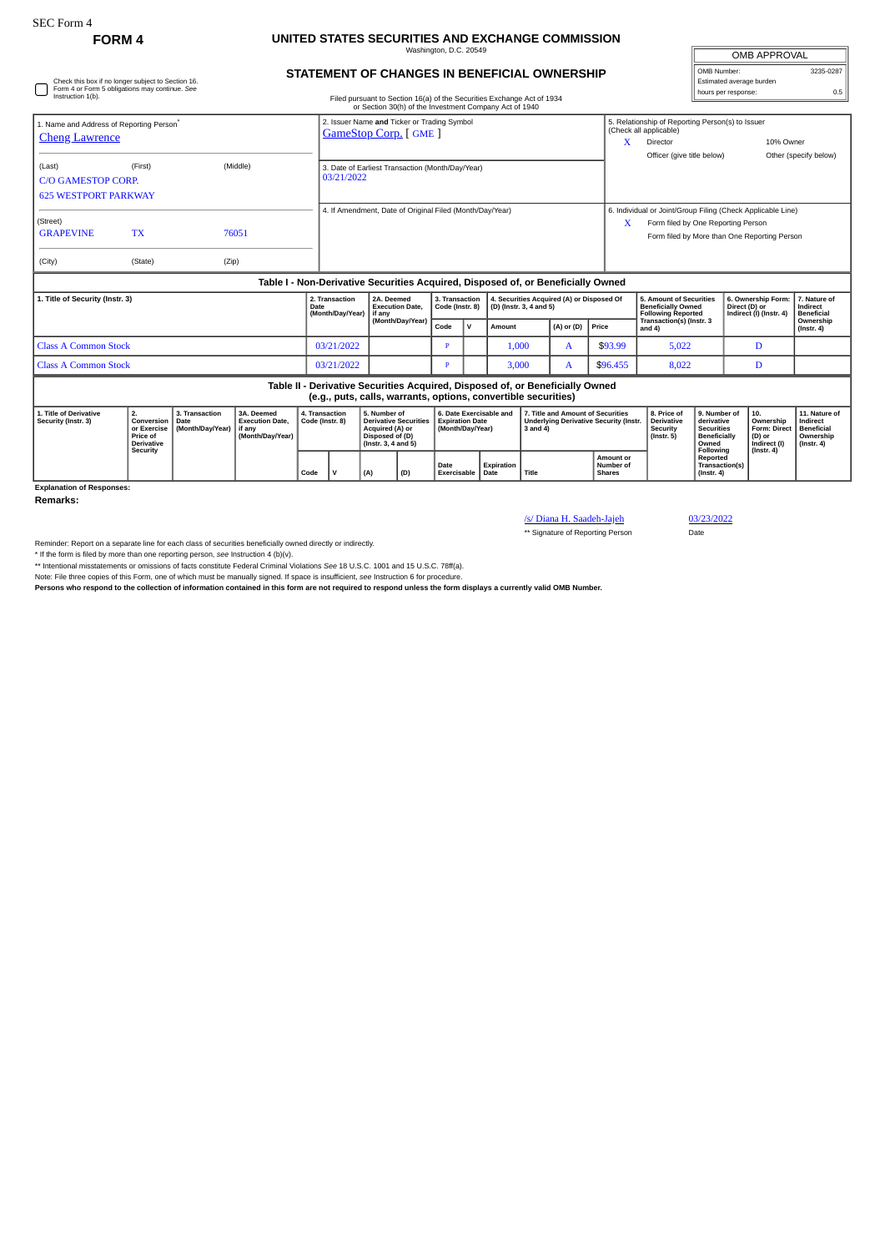Check this box if no longer subject to Section 16. Form 4 or Form 5 obligations may continue. *See*

## **FORM 4 UNITED STATES SECURITIES AND EXCHANGE COMMISSION** Washington, D.C. 20549

| OMB APPROVAL             |           |  |  |  |  |  |  |  |
|--------------------------|-----------|--|--|--|--|--|--|--|
| OMB Number:              | 3235-0287 |  |  |  |  |  |  |  |
| Estimated average burden |           |  |  |  |  |  |  |  |
| hours per response:      | 0.5       |  |  |  |  |  |  |  |

## **STATEMENT OF CHANGES IN BENEFICIAL OWNERSHIP**

| nours per response<br>Instruction 1(b)<br>Filed pursuant to Section 16(a) of the Securities Exchange Act of 1934<br>or Section 30(h) of the Investment Company Act of 1940 |                                                                                                                                                 |                                            |                                                                                  |                                   |                                                                            |                                                                                                           |                                                                |                                                                       |              |                                                                      |                                                                                                |                |                                                |                                                                                                                                                        |                                                                                              |                                                                |                                                                                       |                                                                           |  |
|----------------------------------------------------------------------------------------------------------------------------------------------------------------------------|-------------------------------------------------------------------------------------------------------------------------------------------------|--------------------------------------------|----------------------------------------------------------------------------------|-----------------------------------|----------------------------------------------------------------------------|-----------------------------------------------------------------------------------------------------------|----------------------------------------------------------------|-----------------------------------------------------------------------|--------------|----------------------------------------------------------------------|------------------------------------------------------------------------------------------------|----------------|------------------------------------------------|--------------------------------------------------------------------------------------------------------------------------------------------------------|----------------------------------------------------------------------------------------------|----------------------------------------------------------------|---------------------------------------------------------------------------------------|---------------------------------------------------------------------------|--|
| 1. Name and Address of Reporting Person®<br><b>Cheng Lawrence</b>                                                                                                          |                                                                                                                                                 |                                            |                                                                                  |                                   | 2. Issuer Name and Ticker or Trading Symbol<br><b>GameStop Corp.</b> [GME] |                                                                                                           |                                                                |                                                                       |              |                                                                      |                                                                                                |                | X                                              | 5. Relationship of Reporting Person(s) to Issuer<br>(Check all applicable)<br>Director<br>Officer (give title below)                                   |                                                                                              |                                                                | 10% Owner                                                                             |                                                                           |  |
| (Last)<br><b>C/O GAMESTOP CORP.</b>                                                                                                                                        | (First)<br>(Middle)<br><b>625 WESTPORT PARKWAY</b>                                                                                              |                                            |                                                                                  |                                   |                                                                            |                                                                                                           | 3. Date of Earliest Transaction (Month/Day/Year)<br>03/21/2022 |                                                                       |              |                                                                      |                                                                                                |                |                                                |                                                                                                                                                        |                                                                                              |                                                                |                                                                                       | Other (specify below)                                                     |  |
| (Street)<br><b>GRAPEVINE</b><br>(City)                                                                                                                                     | <b>TX</b><br>(State)                                                                                                                            | (Zip)                                      | 76051                                                                            |                                   | 4. If Amendment, Date of Original Filed (Month/Day/Year)                   |                                                                                                           |                                                                |                                                                       |              |                                                                      |                                                                                                |                |                                                | 6. Individual or Joint/Group Filing (Check Applicable Line)<br>Form filed by One Reporting Person<br>x<br>Form filed by More than One Reporting Person |                                                                                              |                                                                |                                                                                       |                                                                           |  |
|                                                                                                                                                                            |                                                                                                                                                 |                                            | Table I - Non-Derivative Securities Acquired, Disposed of, or Beneficially Owned |                                   |                                                                            |                                                                                                           |                                                                |                                                                       |              |                                                                      |                                                                                                |                |                                                |                                                                                                                                                        |                                                                                              |                                                                |                                                                                       |                                                                           |  |
| 1. Title of Security (Instr. 3)                                                                                                                                            |                                                                                                                                                 |                                            |                                                                                  | Date                              | 2. Transaction<br>(Month/Day/Year)                                         | 2A. Deemed<br><b>Execution Date.</b><br>if anv                                                            |                                                                | 3. Transaction<br>Code (Instr. 8)                                     |              | 4. Securities Acquired (A) or Disposed Of<br>(D) (Instr. 3, 4 and 5) |                                                                                                |                | <b>Beneficially Owned</b>                      | 5. Amount of Securities<br><b>Following Reported</b>                                                                                                   |                                                                                              | 6. Ownership Form:<br>Direct (D) or<br>Indirect (I) (Instr. 4) | 7. Nature of<br>Indirect<br><b>Beneficial</b>                                         |                                                                           |  |
|                                                                                                                                                                            |                                                                                                                                                 |                                            |                                                                                  |                                   |                                                                            |                                                                                                           | (Month/Day/Year)                                               |                                                                       | $\mathsf{v}$ | Amount                                                               |                                                                                                | $(A)$ or $(D)$ | Price                                          | Transaction(s) (Instr. 3<br>and 4)                                                                                                                     |                                                                                              |                                                                |                                                                                       | Ownership<br>$($ Instr. 4 $)$                                             |  |
| <b>Class A Common Stock</b>                                                                                                                                                |                                                                                                                                                 |                                            |                                                                                  |                                   | 03/21/2022                                                                 |                                                                                                           | D                                                              |                                                                       | 1.000        |                                                                      | A                                                                                              | \$93.99        | 5.022                                          |                                                                                                                                                        | D                                                                                            |                                                                |                                                                                       |                                                                           |  |
| <b>Class A Common Stock</b>                                                                                                                                                |                                                                                                                                                 |                                            |                                                                                  |                                   | 03/21/2022                                                                 |                                                                                                           | Ð                                                              |                                                                       | 3.000        |                                                                      | A                                                                                              | \$96.455       | 8,022                                          |                                                                                                                                                        | D                                                                                            |                                                                |                                                                                       |                                                                           |  |
|                                                                                                                                                                            | Table II - Derivative Securities Acquired, Disposed of, or Beneficially Owned<br>(e.g., puts, calls, warrants, options, convertible securities) |                                            |                                                                                  |                                   |                                                                            |                                                                                                           |                                                                |                                                                       |              |                                                                      |                                                                                                |                |                                                |                                                                                                                                                        |                                                                                              |                                                                |                                                                                       |                                                                           |  |
| 1. Title of Derivative<br>Security (Instr. 3)                                                                                                                              | 2.<br>Conversion<br>or Exercise<br>Price of<br><b>Derivative</b><br>Security                                                                    | 3. Transaction<br>Date<br>(Month/Day/Year) | 3A. Deemed<br><b>Execution Date,</b><br>if any<br>(Month/Day/Year)               | 4. Transaction<br>Code (Instr. 8) |                                                                            | 5. Number of<br><b>Derivative Securities</b><br>Acquired (A) or<br>Disposed of (D)<br>(Instr. 3, 4 and 5) |                                                                | 6. Date Exercisable and<br><b>Expiration Date</b><br>(Month/Day/Year) |              |                                                                      | 7. Title and Amount of Securities<br><b>Underlying Derivative Security (Instr.</b><br>3 and 4) |                |                                                | 8. Price of<br><b>Derivative</b><br>Security<br>$($ lnstr. 5 $)$                                                                                       | 9. Number of<br>derivative<br><b>Securities</b><br><b>Beneficially</b><br>Owned<br>Following |                                                                | 10.<br>Ownership<br><b>Form: Direct</b><br>(D) or<br>Indirect (I)<br>$($ Instr. 4 $)$ | 11. Nature of<br>Indirect<br><b>Beneficial</b><br>Ownership<br>(Instr. 4) |  |
|                                                                                                                                                                            | Code                                                                                                                                            |                                            |                                                                                  |                                   | v                                                                          | (A)                                                                                                       | (D)                                                            | Date<br>Exercisable                                                   |              | Expiration<br>Date                                                   | Title                                                                                          |                | <b>Amount or</b><br>Number of<br><b>Shares</b> | Reported<br>Transaction(s)<br>$($ Instr. 4 $)$                                                                                                         |                                                                                              |                                                                |                                                                                       |                                                                           |  |
| <b>Explanation of Responses:</b>                                                                                                                                           |                                                                                                                                                 |                                            |                                                                                  |                                   |                                                                            |                                                                                                           |                                                                |                                                                       |              |                                                                      |                                                                                                |                |                                                |                                                                                                                                                        |                                                                                              |                                                                |                                                                                       |                                                                           |  |

**Remarks:**

/s/ Diana H. Saadeh-Jajeh 03/23/2022

\*\* Signature of Reporting Person Date

Reminder: Report on a separate line for each class of securities beneficially owned directly or indirectly.

\* If the form is filed by more than one reporting person, see Instruction 4 (b)(v).<br>\*\* Intentional misstatements or omissions of facts constitute Federal Criminal Violations See 18 U.S.C. 1001 and 15 U.S.C. 78ff(a).<br>Note:

**Persons who respond to the collection of information contained in this form are not required to respond unless the form displays a currently valid OMB Number.**